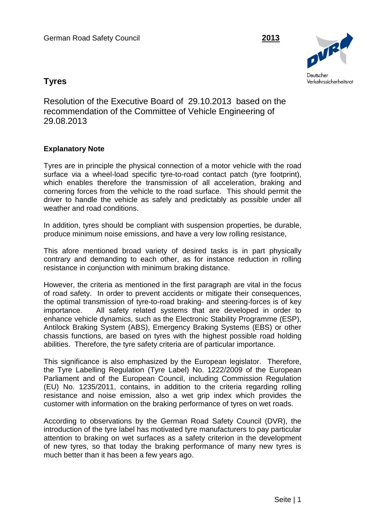

# **Tyres**

Resolution of the Executive Board of 29.10.2013 based on the recommendation of the Committee of Vehicle Engineering of 29.08.2013

## **Explanatory Note**

Tyres are in principle the physical connection of a motor vehicle with the road surface via a wheel-load specific tyre-to-road contact patch (tyre footprint), which enables therefore the transmission of all acceleration, braking and cornering forces from the vehicle to the road surface. This should permit the driver to handle the vehicle as safely and predictably as possible under all weather and road conditions.

In addition, tyres should be compliant with suspension properties, be durable, produce minimum noise emissions, and have a very low rolling resistance,

This afore mentioned broad variety of desired tasks is in part physically contrary and demanding to each other, as for instance reduction in rolling resistance in conjunction with minimum braking distance.

However, the criteria as mentioned in the first paragraph are vital in the focus of road safety. In order to prevent accidents or mitigate their consequences, the optimal transmission of tyre-to-road braking- and steering-forces is of key importance. All safety related systems that are developed in order to enhance vehicle dynamics, such as the Electronic Stability Programme (ESP), Antilock Braking System (ABS), Emergency Braking Systems (EBS) or other chassis functions, are based on tyres with the highest possible road holding abilities. Therefore, the tyre safety criteria are of particular importance.

This significance is also emphasized by the European legislator. Therefore, the Tyre Labelling Regulation (Tyre Label) No. 1222/2009 of the European Parliament and of the European Council, including Commission Regulation (EU) No. 1235/2011, contains, in addition to the criteria regarding rolling resistance and noise emission, also a wet grip index which provides the customer with information on the braking performance of tyres on wet roads.

According to observations by the German Road Safety Council (DVR), the introduction of the tyre label has motivated tyre manufacturers to pay particular attention to braking on wet surfaces as a safety criterion in the development of new tyres, so that today the braking performance of many new tyres is much better than it has been a few years ago.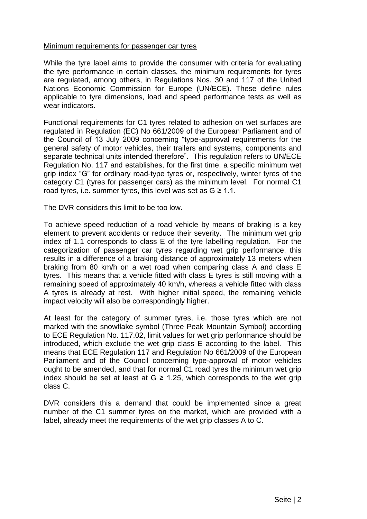#### Minimum requirements for passenger car tyres

While the tyre label aims to provide the consumer with criteria for evaluating the tyre performance in certain classes, the minimum requirements for tyres are regulated, among others, in Regulations Nos. 30 and 117 of the United Nations Economic Commission for Europe (UN/ECE). These define rules applicable to tyre dimensions, load and speed performance tests as well as wear indicators.

Functional requirements for C1 tyres related to adhesion on wet surfaces are regulated in Regulation (EC) No 661/2009 of the European Parliament and of the Council of 13 July 2009 concerning "type-approval requirements for the general safety of motor vehicles, their trailers and systems, components and separate technical units intended therefore". This regulation refers to UN/ECE Regulation No. 117 and establishes, for the first time, a specific minimum wet grip index "G" for ordinary road-type tyres or, respectively, winter tyres of the category C1 (tyres for passenger cars) as the minimum level. For normal C1 road tyres, i.e. summer tyres, this level was set as  $G \ge 1.1$ .

The DVR considers this limit to be too low.

To achieve speed reduction of a road vehicle by means of braking is a key element to prevent accidents or reduce their severity. The minimum wet grip index of 1.1 corresponds to class E of the tyre labelling regulation. For the categorization of passenger car tyres regarding wet grip performance, this results in a difference of a braking distance of approximately 13 meters when braking from 80 km/h on a wet road when comparing class A and class E tyres. This means that a vehicle fitted with class E tyres is still moving with a remaining speed of approximately 40 km/h, whereas a vehicle fitted with class A tyres is already at rest. With higher initial speed, the remaining vehicle impact velocity will also be correspondingly higher.

At least for the category of summer tyres, i.e. those tyres which are not marked with the snowflake symbol (Three Peak Mountain Symbol) according to ECE Regulation No. 117.02, limit values for wet grip performance should be introduced, which exclude the wet grip class E according to the label. This means that ECE Regulation 117 and Regulation No 661/2009 of the European Parliament and of the Council concerning type-approval of motor vehicles ought to be amended, and that for normal C1 road tyres the minimum wet grip index should be set at least at  $G \ge 1.25$ , which corresponds to the wet grip class C.

DVR considers this a demand that could be implemented since a great number of the C1 summer tyres on the market, which are provided with a label, already meet the requirements of the wet grip classes A to C.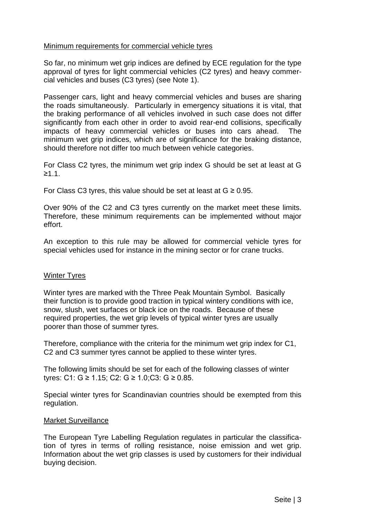## Minimum requirements for commercial vehicle tyres

So far, no minimum wet grip indices are defined by ECE regulation for the type approval of tyres for light commercial vehicles (C2 tyres) and heavy commercial vehicles and buses (C3 tyres) (see Note 1).

Passenger cars, light and heavy commercial vehicles and buses are sharing the roads simultaneously. Particularly in emergency situations it is vital, that the braking performance of all vehicles involved in such case does not differ significantly from each other in order to avoid rear-end collisions, specifically impacts of heavy commercial vehicles or buses into cars ahead. The minimum wet grip indices, which are of significance for the braking distance, should therefore not differ too much between vehicle categories.

For Class C2 tyres, the minimum wet grip index G should be set at least at G ≥1.1.

For Class C3 tyres, this value should be set at least at  $G \ge 0.95$ .

Over 90% of the C2 and C3 tyres currently on the market meet these limits. Therefore, these minimum requirements can be implemented without major effort.

An exception to this rule may be allowed for commercial vehicle tyres for special vehicles used for instance in the mining sector or for crane trucks.

## Winter Tyres

Winter tyres are marked with the Three Peak Mountain Symbol. Basically their function is to provide good traction in typical wintery conditions with ice, snow, slush, wet surfaces or black ice on the roads. Because of these required properties, the wet grip levels of typical winter tyres are usually poorer than those of summer tyres.

Therefore, compliance with the criteria for the minimum wet grip index for C1, C2 and C3 summer tyres cannot be applied to these winter tyres.

The following limits should be set for each of the following classes of winter tyres: C1: G ≥ 1.15; C2: G ≥ 1.0;C3: G ≥ 0.85.

Special winter tyres for Scandinavian countries should be exempted from this regulation.

## Market Surveillance

The European Tyre Labelling Regulation regulates in particular the classification of tyres in terms of rolling resistance, noise emission and wet grip. Information about the wet grip classes is used by customers for their individual buying decision.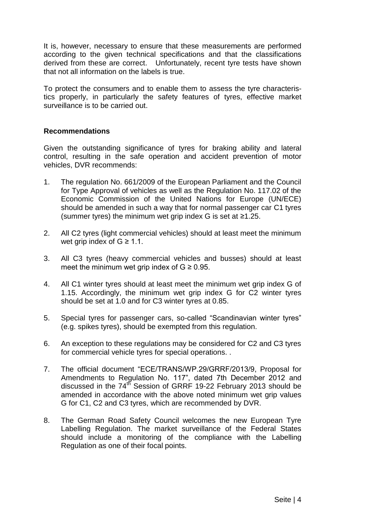It is, however, necessary to ensure that these measurements are performed according to the given technical specifications and that the classifications derived from these are correct. Unfortunately, recent tyre tests have shown that not all information on the labels is true.

To protect the consumers and to enable them to assess the tyre characteristics properly, in particularly the safety features of tyres, effective market surveillance is to be carried out.

#### **Recommendations**

Given the outstanding significance of tyres for braking ability and lateral control, resulting in the safe operation and accident prevention of motor vehicles, DVR recommends:

- 1. The regulation No. 661/2009 of the European Parliament and the Council for Type Approval of vehicles as well as the Regulation No. 117.02 of the Economic Commission of the United Nations for Europe (UN/ECE) should be amended in such a way that for normal passenger car C1 tyres (summer tyres) the minimum wet grip index G is set at ≥1.25.
- 2. All C2 tyres (light commercial vehicles) should at least meet the minimum wet grip index of  $G \geq 1.1$ .
- 3. All C3 tyres (heavy commercial vehicles and busses) should at least meet the minimum wet grip index of  $G \geq 0.95$ .
- 4. All C1 winter tyres should at least meet the minimum wet grip index G of 1.15. Accordingly, the minimum wet grip index G for C2 winter tyres should be set at 1.0 and for C3 winter tyres at 0.85.
- 5. Special tyres for passenger cars, so-called "Scandinavian winter tyres" (e.g. spikes tyres), should be exempted from this regulation.
- 6. An exception to these regulations may be considered for C2 and C3 tyres for commercial vehicle tyres for special operations. .
- 7. The official document "ECE/TRANS/WP.29/GRRF/2013/9, Proposal for Amendments to Regulation No. 117", dated 7th December 2012 and discussed in the  $74^{t\overline{h}}$  Session of GRRF 19-22 February 2013 should be amended in accordance with the above noted minimum wet grip values G for C1, C2 and C3 tyres, which are recommended by DVR.
- 8. The German Road Safety Council welcomes the new European Tyre Labelling Regulation. The market surveillance of the Federal States should include a monitoring of the compliance with the Labelling Regulation as one of their focal points.